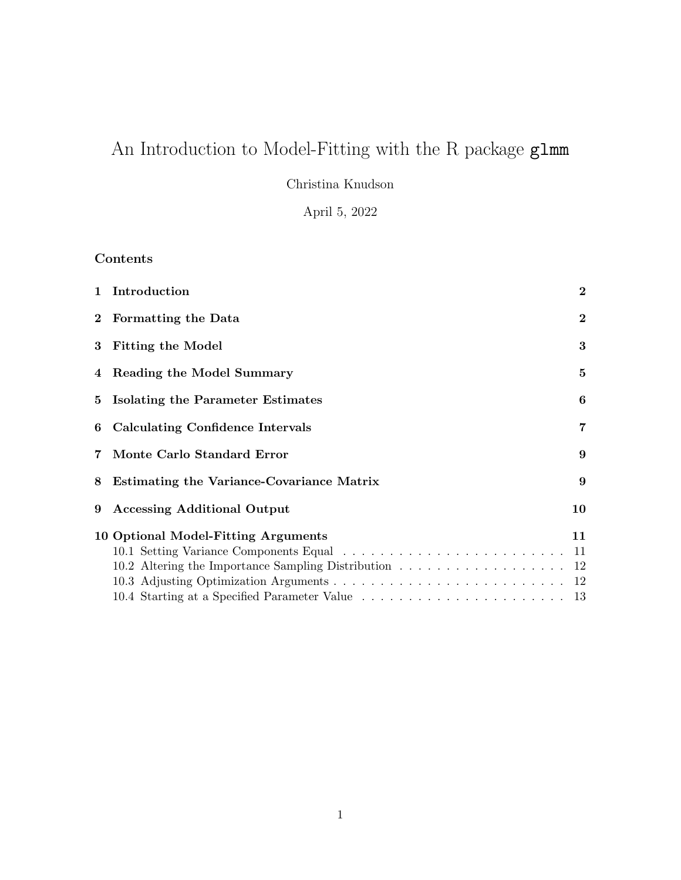# An Introduction to Model-Fitting with the R package glmm

Christina Knudson

April 5, 2022

# Contents

|       | 1 Introduction                                                                                                                           | $\bf{2}$       |  |
|-------|------------------------------------------------------------------------------------------------------------------------------------------|----------------|--|
|       | 2 Formatting the Data                                                                                                                    | $\bf{2}$       |  |
|       | 3 Fitting the Model                                                                                                                      | 3              |  |
|       | 4 Reading the Model Summary                                                                                                              | 5              |  |
| $5 -$ | Isolating the Parameter Estimates                                                                                                        | 6              |  |
| 6     | <b>Calculating Confidence Intervals</b>                                                                                                  | $\overline{7}$ |  |
| 7     | Monte Carlo Standard Error                                                                                                               | 9              |  |
| 8     | <b>Estimating the Variance-Covariance Matrix</b>                                                                                         |                |  |
| 9     | <b>Accessing Additional Output</b>                                                                                                       | 10             |  |
|       | 10 Optional Model-Fitting Arguments                                                                                                      | 11             |  |
|       | 10.1 Setting Variance Components Equal $\dots \dots \dots \dots \dots \dots \dots \dots \dots \dots \dots \dots \dots \dots \dots \dots$ |                |  |
|       | 10.2 Altering the Importance Sampling Distribution 12                                                                                    |                |  |
|       |                                                                                                                                          |                |  |
|       |                                                                                                                                          |                |  |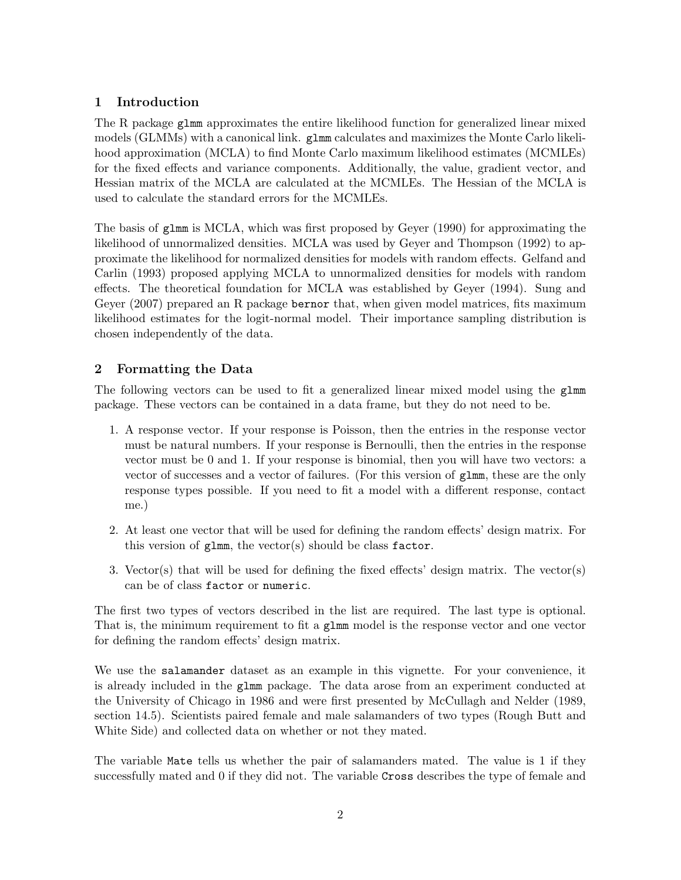## 1 Introduction

The R package glmm approximates the entire likelihood function for generalized linear mixed models (GLMMs) with a canonical link. glmm calculates and maximizes the Monte Carlo likelihood approximation (MCLA) to find Monte Carlo maximum likelihood estimates (MCMLEs) for the fixed effects and variance components. Additionally, the value, gradient vector, and Hessian matrix of the MCLA are calculated at the MCMLEs. The Hessian of the MCLA is used to calculate the standard errors for the MCMLEs.

The basis of glmm is MCLA, which was first proposed by Geyer (1990) for approximating the likelihood of unnormalized densities. MCLA was used by Geyer and Thompson (1992) to approximate the likelihood for normalized densities for models with random effects. Gelfand and Carlin (1993) proposed applying MCLA to unnormalized densities for models with random effects. The theoretical foundation for MCLA was established by Geyer (1994). Sung and Geyer (2007) prepared an R package bernor that, when given model matrices, fits maximum likelihood estimates for the logit-normal model. Their importance sampling distribution is chosen independently of the data.

### 2 Formatting the Data

The following vectors can be used to fit a generalized linear mixed model using the glmm package. These vectors can be contained in a data frame, but they do not need to be.

- 1. A response vector. If your response is Poisson, then the entries in the response vector must be natural numbers. If your response is Bernoulli, then the entries in the response vector must be 0 and 1. If your response is binomial, then you will have two vectors: a vector of successes and a vector of failures. (For this version of glmm, these are the only response types possible. If you need to fit a model with a different response, contact me.)
- 2. At least one vector that will be used for defining the random effects' design matrix. For this version of  $glmm$ , the vector(s) should be class factor.
- 3. Vector(s) that will be used for defining the fixed effects' design matrix. The vector(s) can be of class factor or numeric.

The first two types of vectors described in the list are required. The last type is optional. That is, the minimum requirement to fit a glmm model is the response vector and one vector for defining the random effects' design matrix.

We use the salamander dataset as an example in this vignette. For your convenience, it is already included in the glmm package. The data arose from an experiment conducted at the University of Chicago in 1986 and were first presented by McCullagh and Nelder (1989, section 14.5). Scientists paired female and male salamanders of two types (Rough Butt and White Side) and collected data on whether or not they mated.

The variable Mate tells us whether the pair of salamanders mated. The value is 1 if they successfully mated and 0 if they did not. The variable Cross describes the type of female and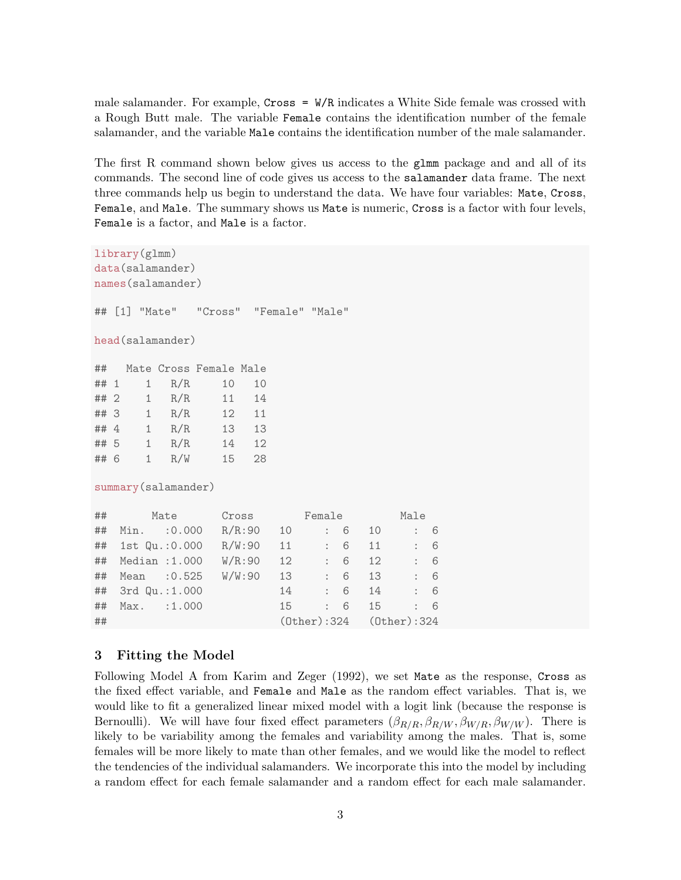male salamander. For example,  $Cross = W/R$  indicates a White Side female was crossed with a Rough Butt male. The variable Female contains the identification number of the female salamander, and the variable Male contains the identification number of the male salamander.

The first R command shown below gives us access to the glmm package and and all of its commands. The second line of code gives us access to the salamander data frame. The next three commands help us begin to understand the data. We have four variables: Mate, Cross, Female, and Male. The summary shows us Mate is numeric, Cross is a factor with four levels, Female is a factor, and Male is a factor.

```
library(glmm)
data(salamander)
names(salamander)
## [1] "Mate" "Cross" "Female" "Male"
head(salamander)
## Mate Cross Female Male
## 1 1 R/R 10 10
## 2 1 R/R 11 14
## 3 1 R/R 12 11
## 4 1 R/R 13 13
## 5 1 R/R 14 12
## 6 1 R/W 15 28
summary(salamander)
## Mate Cross Female Male
## Min. :0.000 R/R:90 10 : 6 10 : 6
## 1st Qu.:0.000 R/W:90 11 : 6 11 : 6
## Median :1.000 W/R:90 12 : 6 12 : 6
## Mean :0.525 W/W:90 13 : 6 13 : 6
## 3rd Qu.:1.000 14 : 6 14 : 6
## Max. :1.000 15 : 6 15 : 6
## (Other):324 (Other):324
```
#### 3 Fitting the Model

Following Model A from Karim and Zeger (1992), we set Mate as the response, Cross as the fixed effect variable, and Female and Male as the random effect variables. That is, we would like to fit a generalized linear mixed model with a logit link (because the response is Bernoulli). We will have four fixed effect parameters  $(\beta_{R/R}, \beta_{R/W}, \beta_{W/R}, \beta_{W/W})$ . There is likely to be variability among the females and variability among the males. That is, some females will be more likely to mate than other females, and we would like the model to reflect the tendencies of the individual salamanders. We incorporate this into the model by including a random effect for each female salamander and a random effect for each male salamander.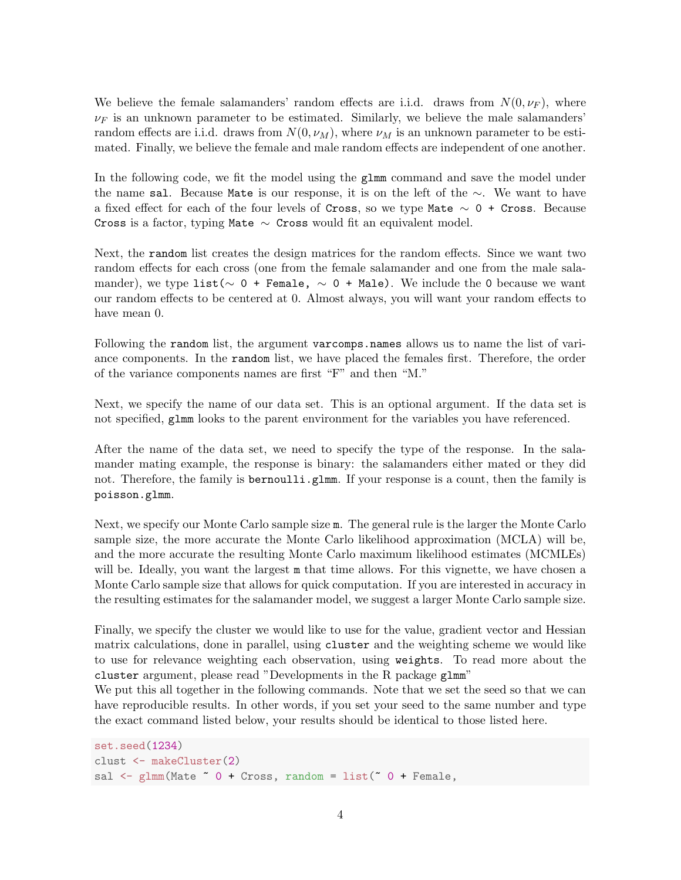We believe the female salamanders' random effects are i.i.d. draws from  $N(0, \nu_F)$ , where  $\nu_F$  is an unknown parameter to be estimated. Similarly, we believe the male salamanders' random effects are i.i.d. draws from  $N(0, \nu_M)$ , where  $\nu_M$  is an unknown parameter to be estimated. Finally, we believe the female and male random effects are independent of one another.

In the following code, we fit the model using the glmm command and save the model under the name sal. Because Mate is our response, it is on the left of the ∼. We want to have a fixed effect for each of the four levels of Cross, so we type Mate  $\sim 0 +$  Cross. Because Cross is a factor, typing Mate  $\sim$  Cross would fit an equivalent model.

Next, the random list creates the design matrices for the random effects. Since we want two random effects for each cross (one from the female salamander and one from the male salamander), we type list( $\sim$  0 + Female,  $\sim$  0 + Male). We include the 0 because we want our random effects to be centered at 0. Almost always, you will want your random effects to have mean 0.

Following the random list, the argument varcomps.names allows us to name the list of variance components. In the random list, we have placed the females first. Therefore, the order of the variance components names are first "F" and then "M."

Next, we specify the name of our data set. This is an optional argument. If the data set is not specified, glmm looks to the parent environment for the variables you have referenced.

After the name of the data set, we need to specify the type of the response. In the salamander mating example, the response is binary: the salamanders either mated or they did not. Therefore, the family is bernoulli.glmm. If your response is a count, then the family is poisson.glmm.

Next, we specify our Monte Carlo sample size m. The general rule is the larger the Monte Carlo sample size, the more accurate the Monte Carlo likelihood approximation (MCLA) will be, and the more accurate the resulting Monte Carlo maximum likelihood estimates (MCMLEs) will be. Ideally, you want the largest m that time allows. For this vignette, we have chosen a Monte Carlo sample size that allows for quick computation. If you are interested in accuracy in the resulting estimates for the salamander model, we suggest a larger Monte Carlo sample size.

Finally, we specify the cluster we would like to use for the value, gradient vector and Hessian matrix calculations, done in parallel, using cluster and the weighting scheme we would like to use for relevance weighting each observation, using weights. To read more about the cluster argument, please read "Developments in the R package glmm"

We put this all together in the following commands. Note that we set the seed so that we can have reproducible results. In other words, if you set your seed to the same number and type the exact command listed below, your results should be identical to those listed here.

```
set.seed(1234)
clust <- makeCluster(2)
sal \leq glmm(Mate \degree 0 + Cross, random = list(\degree 0 + Female,
```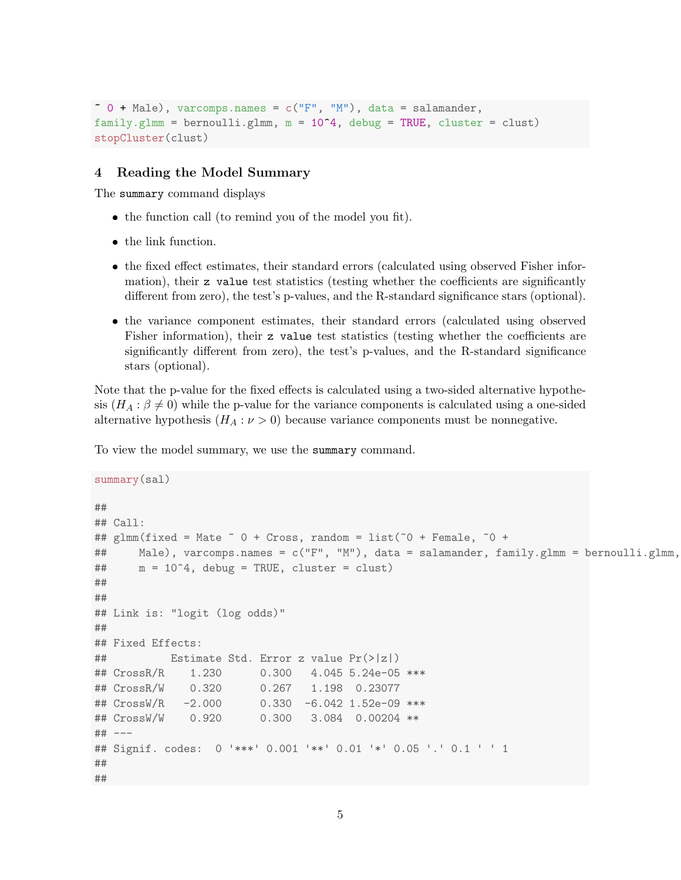$\tilde{p}$  + Male), varcomps.names = c("F", "M"), data = salamander, family.glmm = bernoulli.glmm,  $m = 10^4$ , debug = TRUE, cluster = clust) stopCluster(clust)

#### 4 Reading the Model Summary

The summary command displays

- the function call (to remind you of the model you fit).
- the link function.
- the fixed effect estimates, their standard errors (calculated using observed Fisher information), their z value test statistics (testing whether the coefficients are significantly different from zero), the test's p-values, and the R-standard significance stars (optional).
- the variance component estimates, their standard errors (calculated using observed Fisher information), their z value test statistics (testing whether the coefficients are significantly different from zero), the test's p-values, and the R-standard significance stars (optional).

Note that the p-value for the fixed effects is calculated using a two-sided alternative hypothesis  $(H_A : \beta \neq 0)$  while the p-value for the variance components is calculated using a one-sided alternative hypothesis  $(H_A : \nu > 0)$  because variance components must be nonnegative.

To view the model summary, we use the summary command.

```
summary(sal)
##
## Call:
## glmm(fixed = Mate ~ 0 + Cross, random = list(~0 + Female, ~0 +
## Male), varcomps.names = c("F", "M"), data = salamander, family.glmm = bernoulli.glmm,
## m = 10^4, debug = TRUE, cluster = clust)
##
##
## Link is: "logit (log odds)"
##
## Fixed Effects:
## Estimate Std. Error z value Pr(>|z|)
## CrossR/R 1.230 0.300 4.045 5.24e-05 ***
## CrossR/W 0.320 0.267 1.198 0.23077
## CrossW/R -2.000 0.330 -6.042 1.52e-09 ***
## CrossW/W 0.920 0.300 3.084 0.00204 **
## ---
## Signif. codes: 0 '***' 0.001 '**' 0.01 '*' 0.05 '.' 0.1 ' ' 1
##
##
```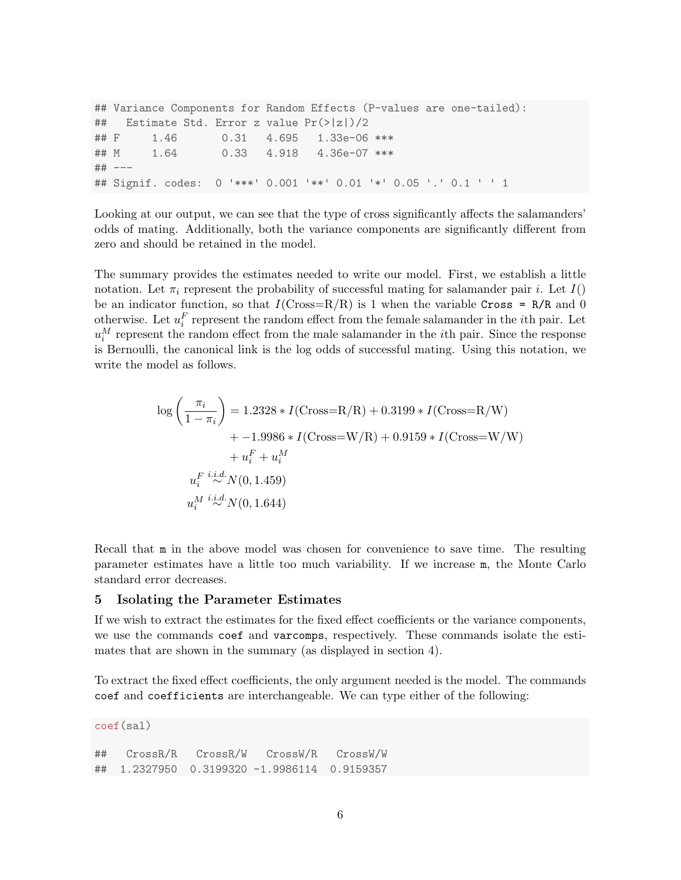```
## Variance Components for Random Effects (P-values are one-tailed):
## Estimate Std. Error z value Pr(>|z|)/2
## F 1.46 0.31 4.695 1.33e-06 ***
## M 1.64 0.33 4.918 4.36e-07 ***
## ---
## Signif. codes: 0 '***' 0.001 '**' 0.01 '*' 0.05 '.' 0.1 ' ' 1
```
Looking at our output, we can see that the type of cross significantly affects the salamanders' odds of mating. Additionally, both the variance components are significantly different from zero and should be retained in the model.

The summary provides the estimates needed to write our model. First, we establish a little notation. Let  $\pi_i$  represent the probability of successful mating for salamander pair i. Let  $I()$ be an indicator function, so that  $I(Cross=R/R)$  is 1 when the variable Cross = R/R and 0 otherwise. Let  $u_i^F$  represent the random effect from the female salamander in the *i*<sup>th</sup> pair. Let  $u_i^M$  represent the random effect from the male salamander in the *i*<sup>th</sup> pair. Since the response is Bernoulli, the canonical link is the log odds of successful mating. Using this notation, we write the model as follows.

$$
\log\left(\frac{\pi_i}{1-\pi_i}\right) = 1.2328 * I(\text{Cross}=R/R) + 0.3199 * I(\text{Cross}=R/W) \n+ -1.9986 * I(\text{Cross}=W/R) + 0.9159 * I(\text{Cross}=W/W) \n+ u_i^F + u_i^M \nu_i^F \stackrel{i.i.d.}{\sim} N(0, 1.459) \nu_i^M \stackrel{i.i.d.}{\sim} N(0, 1.644)
$$

Recall that  $m$  in the above model was chosen for convenience to save time. The resulting parameter estimates have a little too much variability. If we increase m, the Monte Carlo standard error decreases.

#### 5 Isolating the Parameter Estimates

If we wish to extract the estimates for the fixed effect coefficients or the variance components, we use the commands coef and varcomps, respectively. These commands isolate the estimates that are shown in the summary (as displayed in section 4).

To extract the fixed effect coefficients, the only argument needed is the model. The commands coef and coefficients are interchangeable. We can type either of the following:

```
coef(sal)
## CrossR/R CrossR/W CrossW/R CrossW/W
## 1.2327950 0.3199320 -1.9986114 0.9159357
```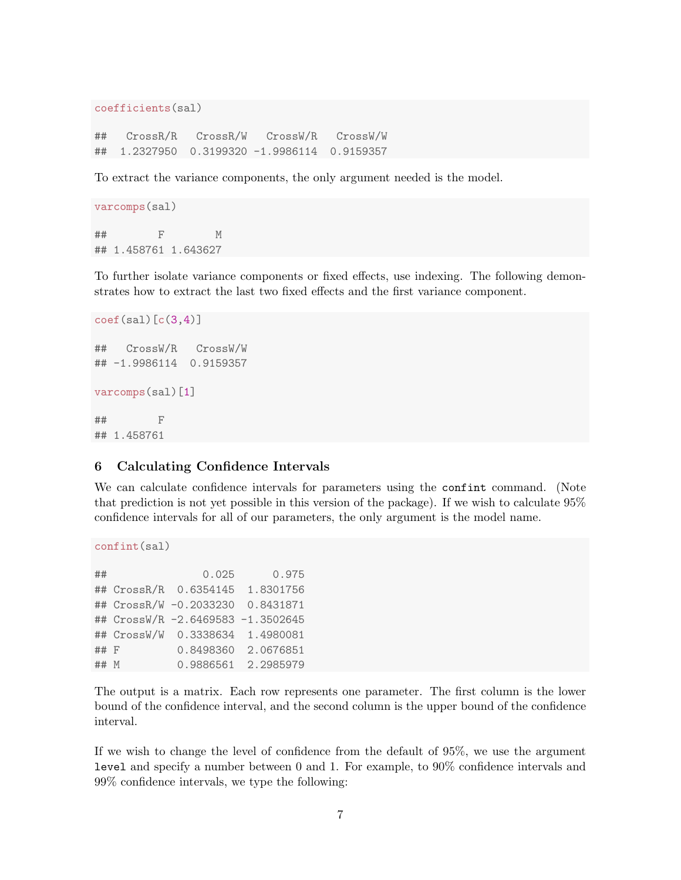```
coefficients(sal)
```
## CrossR/R CrossR/W CrossW/R CrossW/W ## 1.2327950 0.3199320 -1.9986114 0.9159357

To extract the variance components, the only argument needed is the model.

```
varcomps(sal)
## F M
## 1.458761 1.643627
```
To further isolate variance components or fixed effects, use indexing. The following demonstrates how to extract the last two fixed effects and the first variance component.

```
\text{coef}(sal)[c(3,4)]## CrossW/R CrossW/W
## -1.9986114 0.9159357
varcomps(sal)[1]
## F
## 1.458761
```
#### 6 Calculating Confidence Intervals

We can calculate confidence intervals for parameters using the confint command. (Note that prediction is not yet possible in this version of the package). If we wish to calculate 95% confidence intervals for all of our parameters, the only argument is the model name.

```
confint(sal)
```

| ##     | 0.025                             | 0.975               |
|--------|-----------------------------------|---------------------|
|        | ## CrossR/R 0.6354145 1.8301756   |                     |
|        | ## CrossR/W -0.2033230 0.8431871  |                     |
|        | ## CrossW/R -2.6469583 -1.3502645 |                     |
|        | ## CrossW/W 0.3338634 1.4980081   |                     |
| $##$ F |                                   | 0.8498360 2.0676851 |
| ## M   |                                   | 0.9886561 2.2985979 |

The output is a matrix. Each row represents one parameter. The first column is the lower bound of the confidence interval, and the second column is the upper bound of the confidence interval.

If we wish to change the level of confidence from the default of 95%, we use the argument level and specify a number between 0 and 1. For example, to 90% confidence intervals and 99% confidence intervals, we type the following: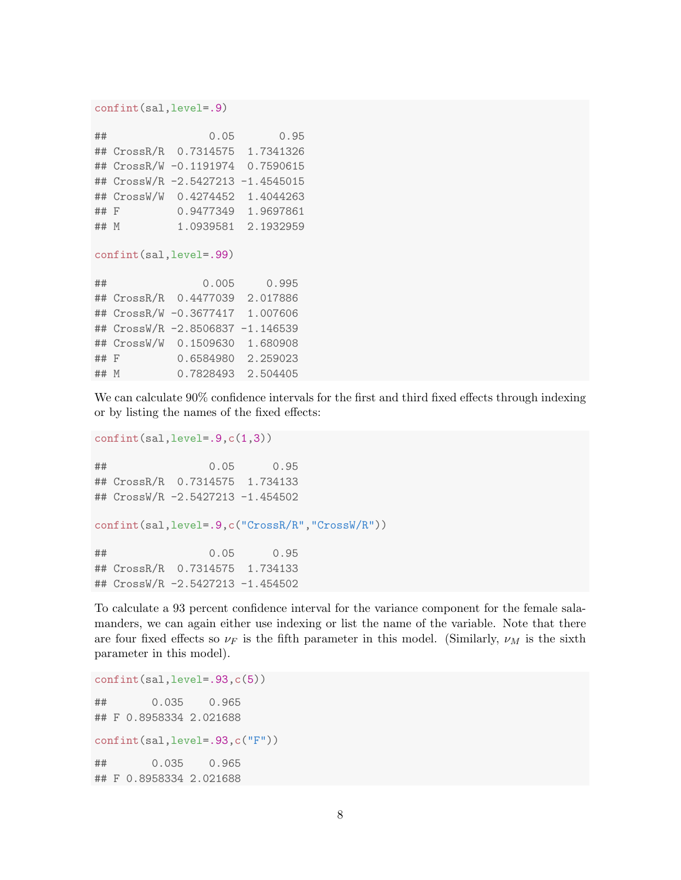#### confint(sal,level=.9)

| ##   | 0.05                              | 0.95                |
|------|-----------------------------------|---------------------|
|      | ## CrossR/R 0.7314575 1.7341326   |                     |
|      | ## CrossR/W -0.1191974 0.7590615  |                     |
|      | ## CrossW/R -2.5427213 -1.4545015 |                     |
|      | ## CrossW/W 0.4274452 1.4044263   |                     |
| ## F | 0.9477349                         | 1.9697861           |
| ## M |                                   | 1.0939581 2.1932959 |

#### confint(sal,level=.99)

| ##   | 0.005                            | 0.995              |
|------|----------------------------------|--------------------|
|      | ## CrossR/R 0.4477039            | 2.017886           |
|      | ## CrossR/W -0.3677417 1.007606  |                    |
|      | ## CrossW/R -2.8506837 -1.146539 |                    |
|      | ## CrossW/W 0.1509630 1.680908   |                    |
| ## F | 0.6584980                        | 2.259023           |
| ## M |                                  | 0.7828493 2.504405 |

We can calculate 90% confidence intervals for the first and third fixed effects through indexing or by listing the names of the fixed effects:

```
confint(sal,level=.9,c(1,3))
```
## 0.05 0.95 ## CrossR/R 0.7314575 1.734133 ## CrossW/R -2.5427213 -1.454502

```
confint(sal,level=.9,c("CrossR/R","CrossW/R"))
```
## 0.05 0.95 ## CrossR/R 0.7314575 1.734133 ## CrossW/R -2.5427213 -1.454502

To calculate a 93 percent confidence interval for the variance component for the female salamanders, we can again either use indexing or list the name of the variable. Note that there are four fixed effects so  $\nu_F$  is the fifth parameter in this model. (Similarly,  $\nu_M$  is the sixth parameter in this model).

```
confint(sal,level=.93,c(5))
## 0.035 0.965
## F 0.8958334 2.021688
confint(sal,level=.93,c("F"))
## 0.035 0.965
## F 0.8958334 2.021688
```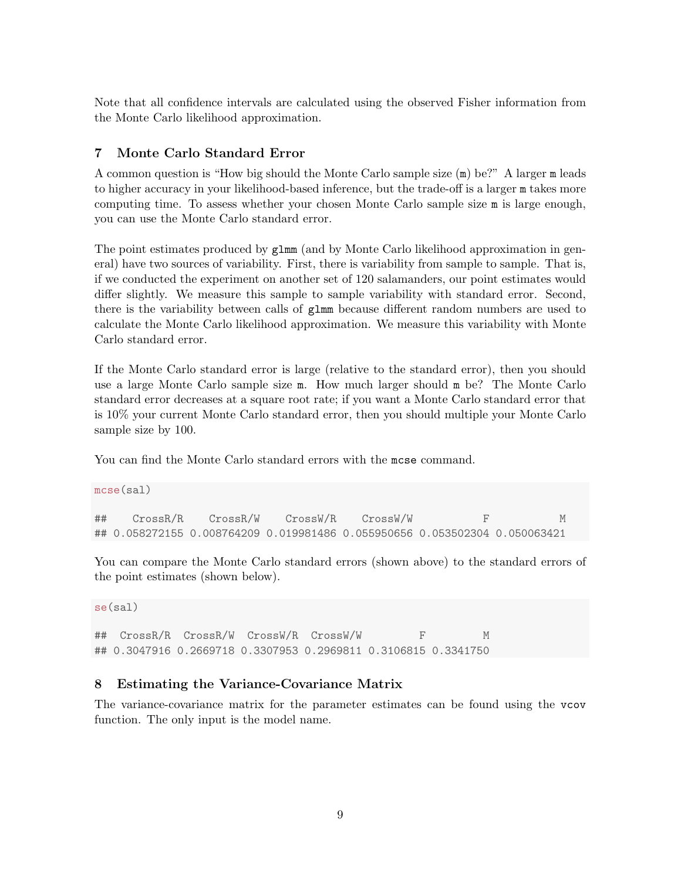Note that all confidence intervals are calculated using the observed Fisher information from the Monte Carlo likelihood approximation.

### 7 Monte Carlo Standard Error

A common question is "How big should the Monte Carlo sample size (m) be?" A larger m leads to higher accuracy in your likelihood-based inference, but the trade-off is a larger m takes more computing time. To assess whether your chosen Monte Carlo sample size m is large enough, you can use the Monte Carlo standard error.

The point estimates produced by glmm (and by Monte Carlo likelihood approximation in general) have two sources of variability. First, there is variability from sample to sample. That is, if we conducted the experiment on another set of 120 salamanders, our point estimates would differ slightly. We measure this sample to sample variability with standard error. Second, there is the variability between calls of glmm because different random numbers are used to calculate the Monte Carlo likelihood approximation. We measure this variability with Monte Carlo standard error.

If the Monte Carlo standard error is large (relative to the standard error), then you should use a large Monte Carlo sample size m. How much larger should m be? The Monte Carlo standard error decreases at a square root rate; if you want a Monte Carlo standard error that is 10% your current Monte Carlo standard error, then you should multiple your Monte Carlo sample size by 100.

You can find the Monte Carlo standard errors with the mcse command.

```
mcse(sal)
## CrossR/R CrossR/W CrossW/R CrossW/W F M
## 0.058272155 0.008764209 0.019981486 0.055950656 0.053502304 0.050063421
```
You can compare the Monte Carlo standard errors (shown above) to the standard errors of the point estimates (shown below).

```
se(sal)
```
## CrossR/R CrossR/W CrossW/R CrossW/W F M ## 0.3047916 0.2669718 0.3307953 0.2969811 0.3106815 0.3341750

#### 8 Estimating the Variance-Covariance Matrix

The variance-covariance matrix for the parameter estimates can be found using the vcov function. The only input is the model name.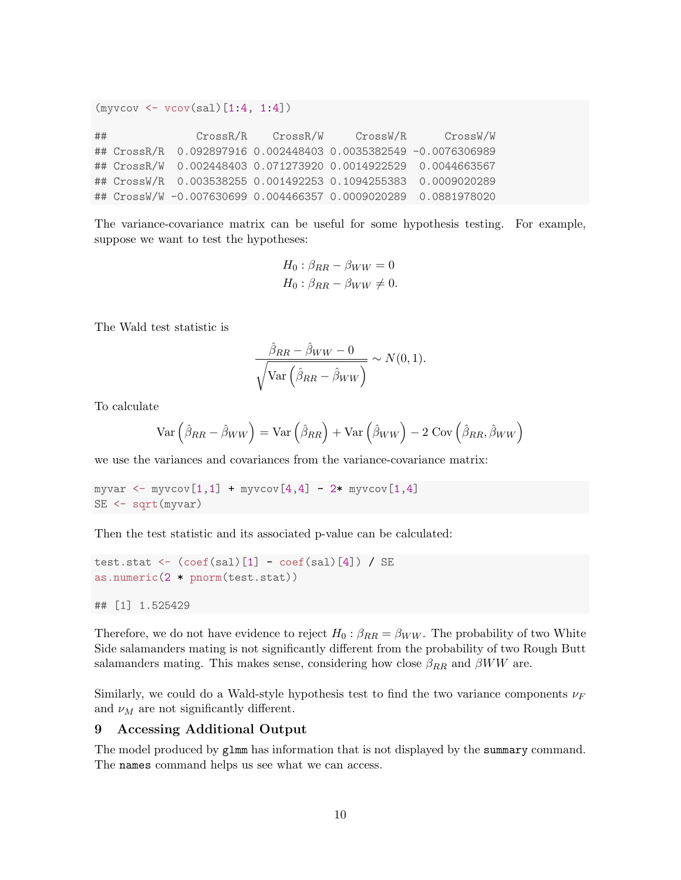$(myvcov < -vcov(sal) [1:4, 1:4])$ 

## CrossR/R CrossR/W CrossW/R CrossW/W ## CrossR/R 0.092897916 0.002448403 0.0035382549 -0.0076306989 ## CrossR/W 0.002448403 0.071273920 0.0014922529 0.0044663567 ## CrossW/R 0.003538255 0.001492253 0.1094255383 0.0009020289 ## CrossW/W -0.007630699 0.004466357 0.0009020289 0.0881978020

The variance-covariance matrix can be useful for some hypothesis testing. For example, suppose we want to test the hypotheses:

$$
H_0: \beta_{RR} - \beta_{WW} = 0
$$
  

$$
H_0: \beta_{RR} - \beta_{WW} \neq 0.
$$

The Wald test statistic is

$$
\frac{\hat{\beta}_{RR} - \hat{\beta}_{WW} - 0}{\sqrt{\text{Var}\left(\hat{\beta}_{RR} - \hat{\beta}_{WW}\right)}} \sim N(0, 1).
$$

To calculate

$$
\text{Var}\left(\hat{\beta}_{RR} - \hat{\beta}_{WW}\right) = \text{Var}\left(\hat{\beta}_{RR}\right) + \text{Var}\left(\hat{\beta}_{WW}\right) - 2\text{ Cov}\left(\hat{\beta}_{RR}, \hat{\beta}_{WW}\right)
$$

we use the variances and covariances from the variance-covariance matrix:

```
myvar <- myvcov[1,1] + myvcov[4,4] - 2* myvcov[1,4]SE <- sqrt(myvar)
```
Then the test statistic and its associated p-value can be calculated:

```
test.stat \leftarrow (coef(sal)[1] - coef(sal)[4]) / SE
as.numeric(2 * pnorm(test.stat))
```
## [1] 1.525429

Therefore, we do not have evidence to reject  $H_0$ :  $\beta_{RR} = \beta_{WW}$ . The probability of two White Side salamanders mating is not significantly different from the probability of two Rough Butt salamanders mating. This makes sense, considering how close  $\beta_{RR}$  and  $\beta WW$  are.

Similarly, we could do a Wald-style hypothesis test to find the two variance components  $\nu_F$ and  $\nu_M$  are not significantly different.

#### 9 Accessing Additional Output

The model produced by glmm has information that is not displayed by the summary command. The names command helps us see what we can access.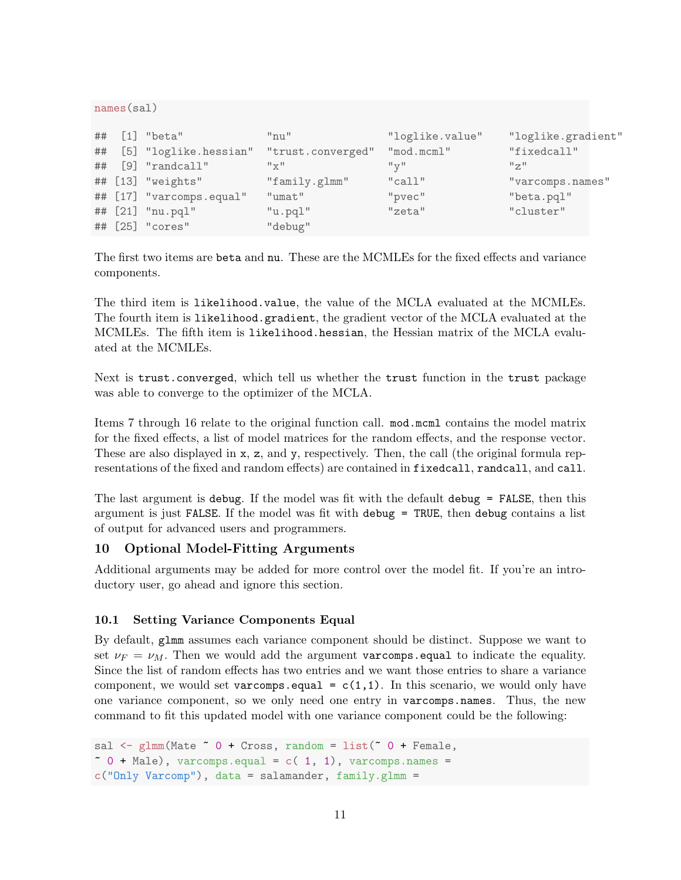```
names(sal)
## [1] "beta" "nu" "loglike.value" "loglike.gradient"
## [5] "loglike.hessian" "trust.converged" "mod.mcml" "fixedcall"
## [9] "randcall" "x" "y" "z"
## [13] "weights" "family.glmm" "call" "varcomps.names"
## [17] "varcomps.equal" "umat" "pvec" "beta.pql"
## [21] "nu.pql" "u.pql" "zeta" "cluster"
## [25] "cores" "debug"
```
The first two items are beta and nu. These are the MCMLEs for the fixed effects and variance components.

The third item is likelihood.value, the value of the MCLA evaluated at the MCMLEs. The fourth item is likelihood.gradient, the gradient vector of the MCLA evaluated at the MCMLEs. The fifth item is likelihood.hessian, the Hessian matrix of the MCLA evaluated at the MCMLEs.

Next is trust.converged, which tell us whether the trust function in the trust package was able to converge to the optimizer of the MCLA.

Items 7 through 16 relate to the original function call. mod.mcml contains the model matrix for the fixed effects, a list of model matrices for the random effects, and the response vector. These are also displayed in x, z, and y, respectively. Then, the call (the original formula representations of the fixed and random effects) are contained in fixedcall, randcall, and call.

The last argument is debug. If the model was fit with the default debug = FALSE, then this argument is just FALSE. If the model was fit with debug = TRUE, then debug contains a list of output for advanced users and programmers.

#### 10 Optional Model-Fitting Arguments

Additional arguments may be added for more control over the model fit. If you're an introductory user, go ahead and ignore this section.

#### 10.1 Setting Variance Components Equal

By default, glmm assumes each variance component should be distinct. Suppose we want to set  $\nu_F = \nu_M$ . Then we would add the argument variances equal to indicate the equality. Since the list of random effects has two entries and we want those entries to share a variance component, we would set varcomps.equal =  $c(1,1)$ . In this scenario, we would only have one variance component, so we only need one entry in varcomps.names. Thus, the new command to fit this updated model with one variance component could be the following:

```
sal \leq glmm(Mate \in 0 + Cross, random = list(\in 0 + Female,
\degree 0 + Male), varcomps.equal = c( 1, 1), varcomps.names =
c("Only Varcomp"), data = salamander, family.glmm =
```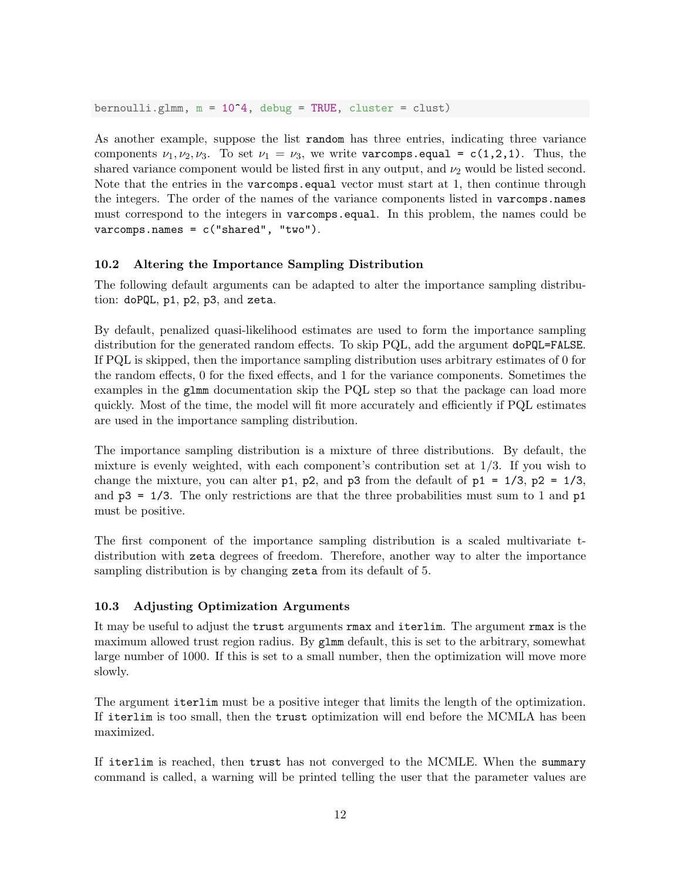bernoulli.glmm,  $m = 10^4$ , debug = TRUE, cluster = clust)

As another example, suppose the list random has three entries, indicating three variance components  $\nu_1, \nu_2, \nu_3$ . To set  $\nu_1 = \nu_3$ , we write varcomps.equal = c(1,2,1). Thus, the shared variance component would be listed first in any output, and  $\nu_2$  would be listed second. Note that the entries in the varcomps.equal vector must start at 1, then continue through the integers. The order of the names of the variance components listed in varcomps.names must correspond to the integers in varcomps.equal. In this problem, the names could be varcomps.names = c("shared", "two").

#### 10.2 Altering the Importance Sampling Distribution

The following default arguments can be adapted to alter the importance sampling distribution: doPQL, p1, p2, p3, and zeta.

By default, penalized quasi-likelihood estimates are used to form the importance sampling distribution for the generated random effects. To skip PQL, add the argument doPQL=FALSE. If PQL is skipped, then the importance sampling distribution uses arbitrary estimates of 0 for the random effects, 0 for the fixed effects, and 1 for the variance components. Sometimes the examples in the glmm documentation skip the PQL step so that the package can load more quickly. Most of the time, the model will fit more accurately and efficiently if PQL estimates are used in the importance sampling distribution.

The importance sampling distribution is a mixture of three distributions. By default, the mixture is evenly weighted, with each component's contribution set at  $1/3$ . If you wish to change the mixture, you can alter p1, p2, and p3 from the default of p1 =  $1/3$ , p2 =  $1/3$ , and  $p3 = 1/3$ . The only restrictions are that the three probabilities must sum to 1 and  $p1$ must be positive.

The first component of the importance sampling distribution is a scaled multivariate tdistribution with zeta degrees of freedom. Therefore, another way to alter the importance sampling distribution is by changing zeta from its default of 5.

#### 10.3 Adjusting Optimization Arguments

It may be useful to adjust the trust arguments rmax and iterlim. The argument rmax is the maximum allowed trust region radius. By glmm default, this is set to the arbitrary, somewhat large number of 1000. If this is set to a small number, then the optimization will move more slowly.

The argument iterlim must be a positive integer that limits the length of the optimization. If iterlim is too small, then the trust optimization will end before the MCMLA has been maximized.

If iterlim is reached, then trust has not converged to the MCMLE. When the summary command is called, a warning will be printed telling the user that the parameter values are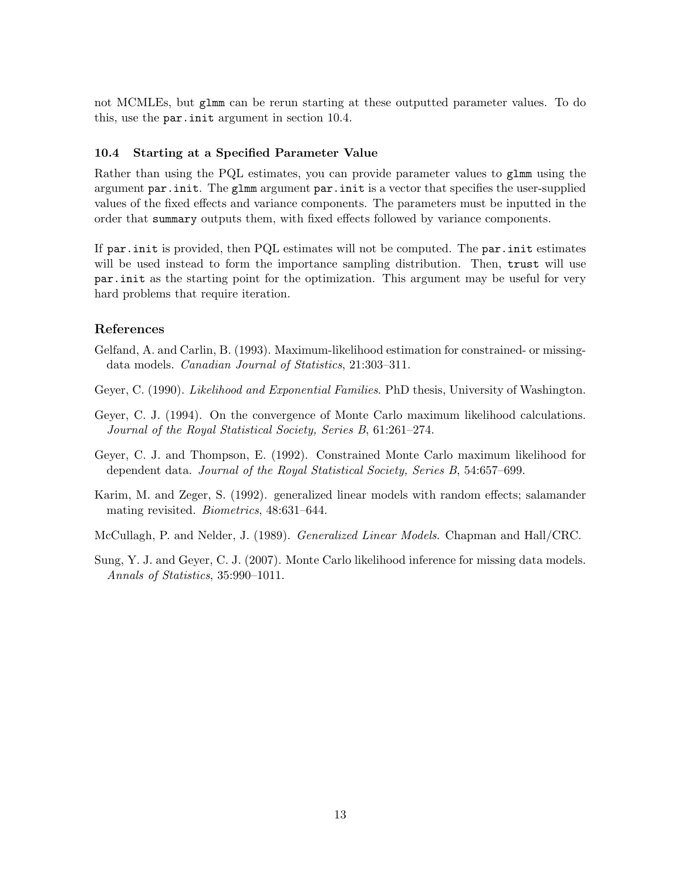not MCMLEs, but glmm can be rerun starting at these outputted parameter values. To do this, use the par.init argument in section 10.4.

#### 10.4 Starting at a Specified Parameter Value

Rather than using the PQL estimates, you can provide parameter values to glmm using the argument par.init. The glmm argument par.init is a vector that specifies the user-supplied values of the fixed effects and variance components. The parameters must be inputted in the order that summary outputs them, with fixed effects followed by variance components.

If par.init is provided, then PQL estimates will not be computed. The par.init estimates will be used instead to form the importance sampling distribution. Then, trust will use par.init as the starting point for the optimization. This argument may be useful for very hard problems that require iteration.

#### References

- Gelfand, A. and Carlin, B. (1993). Maximum-likelihood estimation for constrained- or missingdata models. Canadian Journal of Statistics, 21:303–311.
- Geyer, C. (1990). Likelihood and Exponential Families. PhD thesis, University of Washington.
- Geyer, C. J. (1994). On the convergence of Monte Carlo maximum likelihood calculations. Journal of the Royal Statistical Society, Series B, 61:261–274.
- Geyer, C. J. and Thompson, E. (1992). Constrained Monte Carlo maximum likelihood for dependent data. Journal of the Royal Statistical Society, Series B, 54:657–699.
- Karim, M. and Zeger, S. (1992). generalized linear models with random effects; salamander mating revisited. *Biometrics*, 48:631-644.

McCullagh, P. and Nelder, J. (1989). Generalized Linear Models. Chapman and Hall/CRC.

Sung, Y. J. and Geyer, C. J. (2007). Monte Carlo likelihood inference for missing data models. Annals of Statistics, 35:990–1011.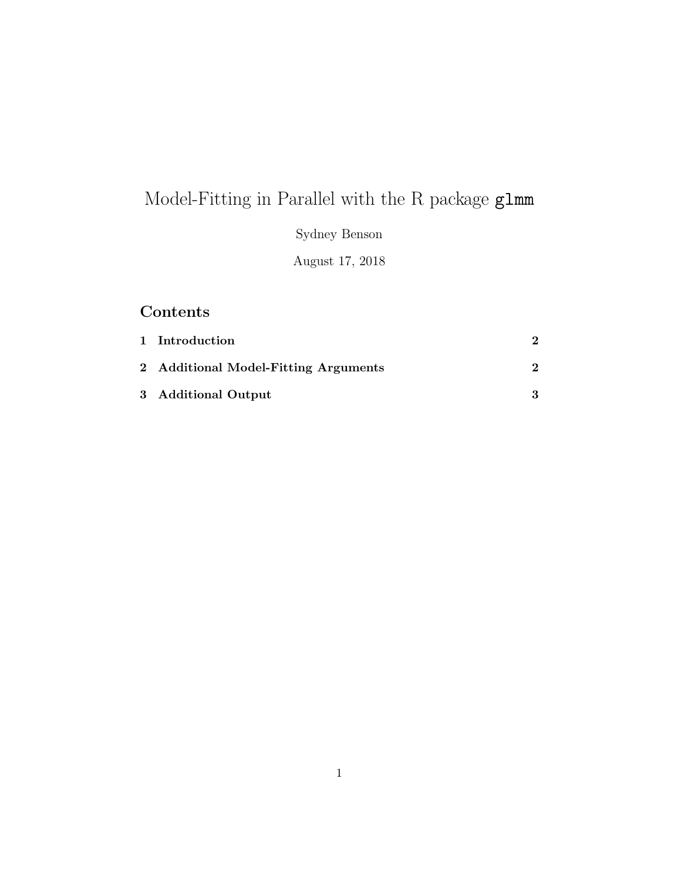# Model-Fitting in Parallel with the R package glmm

Sydney Benson

August 17, 2018

# Contents

| 1 Introduction                       |  |
|--------------------------------------|--|
| 2 Additional Model-Fitting Arguments |  |
| 3 Additional Output                  |  |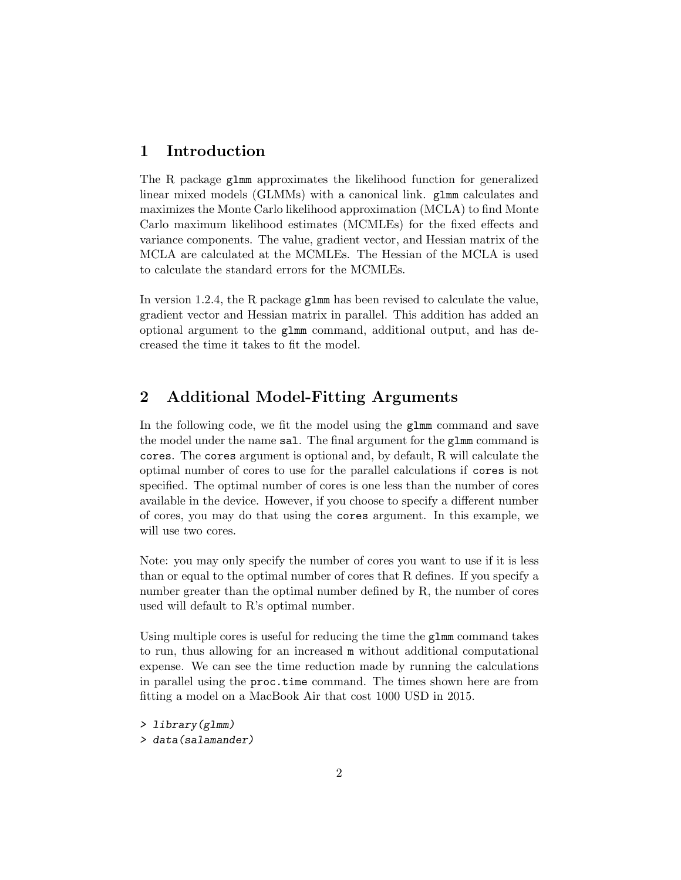# 1 Introduction

The R package glmm approximates the likelihood function for generalized linear mixed models (GLMMs) with a canonical link. glmm calculates and maximizes the Monte Carlo likelihood approximation (MCLA) to find Monte Carlo maximum likelihood estimates (MCMLEs) for the fixed effects and variance components. The value, gradient vector, and Hessian matrix of the MCLA are calculated at the MCMLEs. The Hessian of the MCLA is used to calculate the standard errors for the MCMLEs.

In version 1.2.4, the R package glmm has been revised to calculate the value, gradient vector and Hessian matrix in parallel. This addition has added an optional argument to the glmm command, additional output, and has decreased the time it takes to fit the model.

# 2 Additional Model-Fitting Arguments

In the following code, we fit the model using the glmm command and save the model under the name sal. The final argument for the glmm command is cores. The cores argument is optional and, by default, R will calculate the optimal number of cores to use for the parallel calculations if cores is not specified. The optimal number of cores is one less than the number of cores available in the device. However, if you choose to specify a different number of cores, you may do that using the cores argument. In this example, we will use two cores.

Note: you may only specify the number of cores you want to use if it is less than or equal to the optimal number of cores that R defines. If you specify a number greater than the optimal number defined by R, the number of cores used will default to R's optimal number.

Using multiple cores is useful for reducing the time the glmm command takes to run, thus allowing for an increased m without additional computational expense. We can see the time reduction made by running the calculations in parallel using the proc.time command. The times shown here are from fitting a model on a MacBook Air that cost 1000 USD in 2015.

> library(glmm) > data(salamander)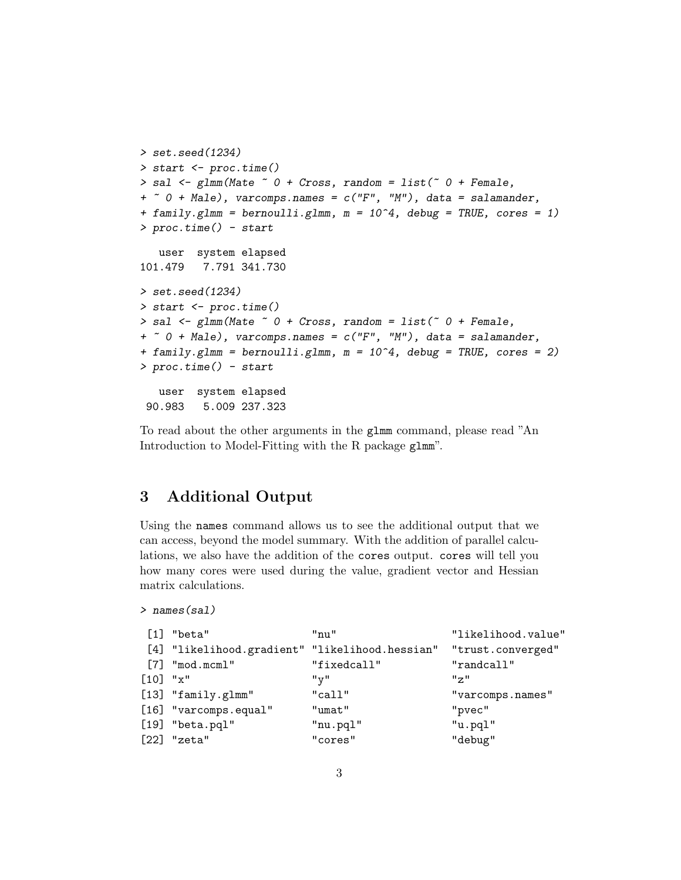```
> set.seed(1234)
> start <- proc.time()
> sal \leq glmm(Mate \sim 0 + Cross, random = list(\sim 0 + Female,
+ \sim 0 + Male), varcomps.names = c("F", "M"), data = salamander,
+ family.glmm = bernoulli.glmm, m = 10^4, debug = TRUE, cores = 1)
> proc.time() - start
   user system elapsed
101.479 7.791 341.730
> set.seed(1234)
> start <- proc.time()
> sal <- glmm(Mate ~ O ~+ Cross, random = list(\degree 0 + Female,
+ \sim 0 + Male), varcomps.names = c("F", "M"), data = salamander,
+ family.glmm = bernoulli.glmm, m = 10^4, debug = TRUE, cores = 2)
> proc.time() - start
   user system elapsed
 90.983 5.009 237.323
```
To read about the other arguments in the glmm command, please read "An Introduction to Model-Fitting with the R package glmm".

# 3 Additional Output

Using the names command allows us to see the additional output that we can access, beyond the model summary. With the addition of parallel calculations, we also have the addition of the cores output. cores will tell you how many cores were used during the value, gradient vector and Hessian matrix calculations.

```
> names(sal)
```

|            | [1] "beta"                                     | $"$ nu"     | "likelihood.value"                                              |
|------------|------------------------------------------------|-------------|-----------------------------------------------------------------|
|            | [4] "likelihood.gradient" "likelihood.hessian" |             | "trust.converged"                                               |
|            | $[7]$ "mod.mcml"                               | "fixedcall" | "randcall"                                                      |
| $[10]$ "x" |                                                | "v"         | $^{\prime\prime}$ $\sigma$ <sup><math>\prime\prime</math></sup> |
|            | [13] "family.glmm"                             | "call"      | "varcomps.names"                                                |
|            | [16] "varcomps.equal"                          | "umat"      | "pvec"                                                          |
|            | $[19]$ "beta.pql"                              | "nu.pql"    | "u.pql"                                                         |
|            | $[22]$ "zeta"                                  | "cores"     | "debug"                                                         |